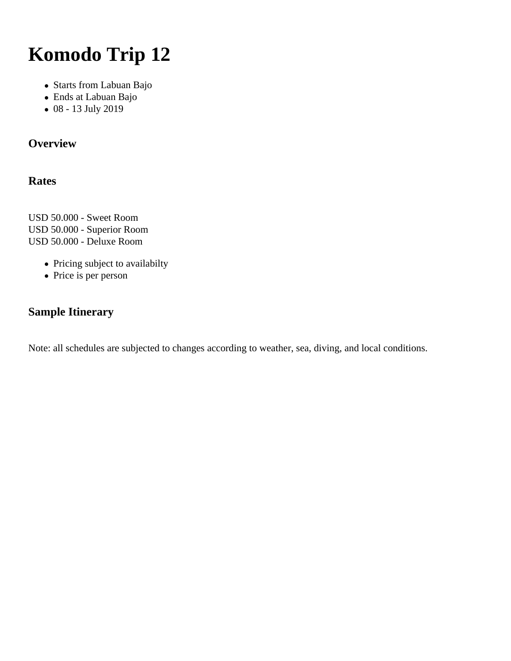# **Komodo Trip 12**

- Starts from Labuan Bajo
- Ends at Labuan Bajo
- 08 13 July 2019

# **Overview**

## **Rates**

USD 50.000 - Sweet Room USD 50.000 - Superior Room USD 50.000 - Deluxe Room

- Pricing subject to availabilty
- Price is per person

## **Sample Itinerary**

Note: all schedules are subjected to changes according to weather, sea, diving, and local conditions.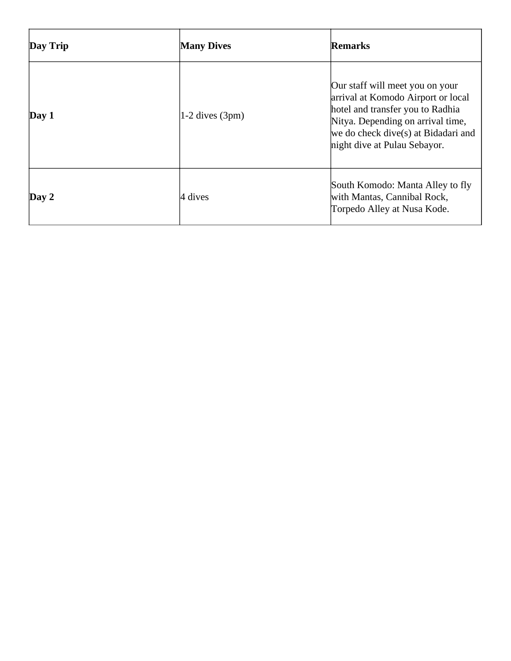| Day Trip    | <b>Many Dives</b>    | Remarks                                                                                                                                                                                                               |
|-------------|----------------------|-----------------------------------------------------------------------------------------------------------------------------------------------------------------------------------------------------------------------|
| $\bf Day 1$ | $ 1-2$ dives $(3pm)$ | Our staff will meet you on your<br>arrival at Komodo Airport or local<br>hotel and transfer you to Radhia<br>Nitya. Depending on arrival time,<br>we do check dive(s) at Bidadari and<br>night dive at Pulau Sebayor. |
| $\bf Day 2$ | 4 dives              | South Komodo: Manta Alley to fly<br>with Mantas, Cannibal Rock,<br>Torpedo Alley at Nusa Kode.                                                                                                                        |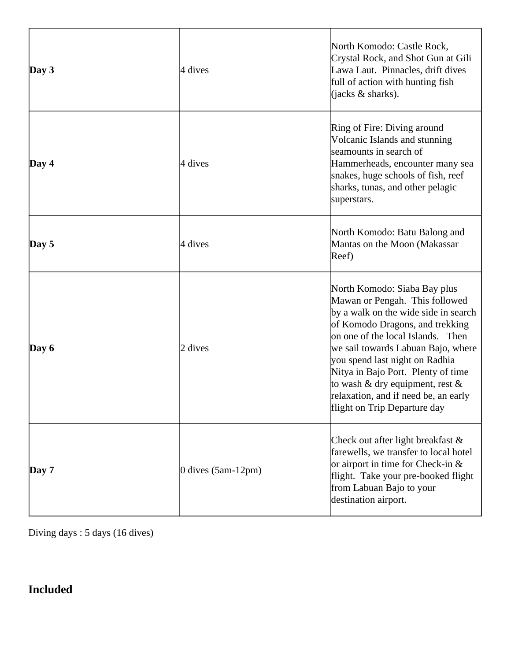| $\log 3$    | 4 dives                | North Komodo: Castle Rock,<br>Crystal Rock, and Shot Gun at Gili<br>Lawa Laut. Pinnacles, drift dives<br>full of action with hunting fish<br>(jacks $\&$ sharks).                                                                                                                                                                                                                                          |
|-------------|------------------------|------------------------------------------------------------------------------------------------------------------------------------------------------------------------------------------------------------------------------------------------------------------------------------------------------------------------------------------------------------------------------------------------------------|
| $\bf Day 4$ | 4 dives                | Ring of Fire: Diving around<br>Volcanic Islands and stunning<br>seamounts in search of<br>Hammerheads, encounter many sea<br>snakes, huge schools of fish, reef<br>sharks, tunas, and other pelagic<br>superstars.                                                                                                                                                                                         |
| $\bf Day 5$ | 4 dives                | North Komodo: Batu Balong and<br>Mantas on the Moon (Makassar<br>Reef)                                                                                                                                                                                                                                                                                                                                     |
| Day $6$     | 2 dives                | North Komodo: Siaba Bay plus<br>Mawan or Pengah. This followed<br>by a walk on the wide side in search<br>of Komodo Dragons, and trekking<br>on one of the local Islands. Then<br>we sail towards Labuan Bajo, where<br>you spend last night on Radhia<br>Nitya in Bajo Port. Plenty of time<br>to wash & dry equipment, rest $\&$<br>relaxation, and if need be, an early<br>flight on Trip Departure day |
| $\bf Day 7$ | $0$ dives $(5am-12pm)$ | Check out after light breakfast $\&$<br>farewells, we transfer to local hotel<br>or airport in time for Check-in $\&$<br>flight. Take your pre-booked flight<br>from Labuan Bajo to your<br>destination airport.                                                                                                                                                                                           |

Diving days : 5 days (16 dives)

# **Included**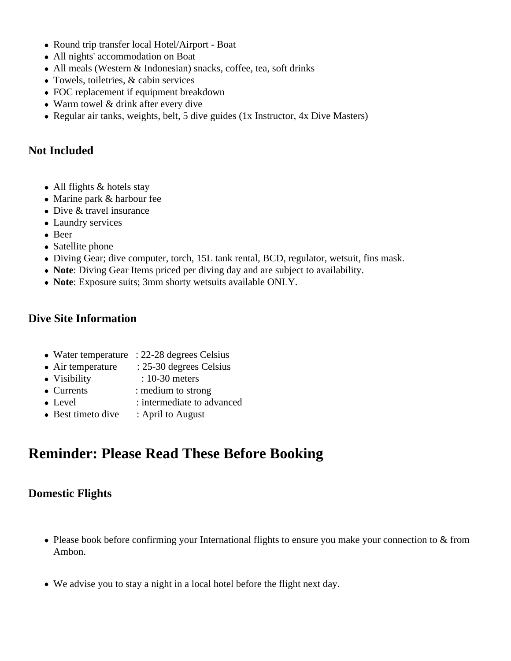- Round trip transfer local Hotel/Airport Boat
- All nights' accommodation on Boat
- All meals (Western & Indonesian) snacks, coffee, tea, soft drinks
- Towels, toiletries, & cabin services
- FOC replacement if equipment breakdown
- Warm towel & drink after every dive
- Regular air tanks, weights, belt, 5 dive guides (1x Instructor, 4x Dive Masters)

#### **Not Included**

- All flights & hotels stay
- Marine park & harbour fee
- Dive & travel insurance
- Laundry services
- Beer
- Satellite phone
- Diving Gear; dive computer, torch, 15L tank rental, BCD, regulator, wetsuit, fins mask.
- **Note**: Diving Gear Items priced per diving day and are subject to availability.
- **Note**: Exposure suits; 3mm shorty wetsuits available ONLY.

#### **Dive Site Information**

- Water temperature : 22-28 degrees Celsius
- Air temperature : 25-30 degrees Celsius
- Visibility : 10-30 meters
- Currents : medium to strong
- Level : intermediate to advanced
- Best timeto dive : April to August

# **Reminder: Please Read These Before Booking**

#### **Domestic Flights**

- Please book before confirming your International flights to ensure you make your connection to & from Ambon.
- We advise you to stay a night in a local hotel before the flight next day.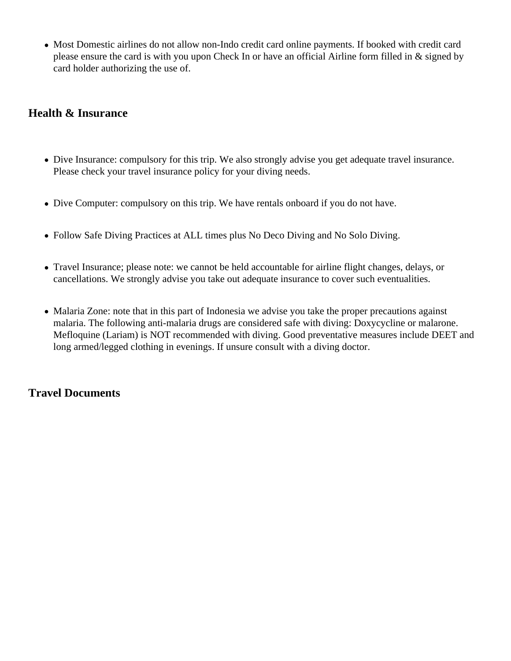Most Domestic airlines do not allow non-Indo credit card online payments. If booked with credit card please ensure the card is with you upon Check In or have an official Airline form filled in & signed by card holder authorizing the use of.

### **Health & Insurance**

- Dive Insurance: compulsory for this trip. We also strongly advise you get adequate travel insurance. Please check your travel insurance policy for your diving needs.
- Dive Computer: compulsory on this trip. We have rentals onboard if you do not have.
- Follow Safe Diving Practices at ALL times plus No Deco Diving and No Solo Diving.
- Travel Insurance; please note: we cannot be held accountable for airline flight changes, delays, or cancellations. We strongly advise you take out adequate insurance to cover such eventualities.
- Malaria Zone: note that in this part of Indonesia we advise you take the proper precautions against malaria. The following anti-malaria drugs are considered safe with diving: Doxycycline or malarone. Mefloquine (Lariam) is NOT recommended with diving. Good preventative measures include DEET and long armed/legged clothing in evenings. If unsure consult with a diving doctor.

#### **Travel Documents**